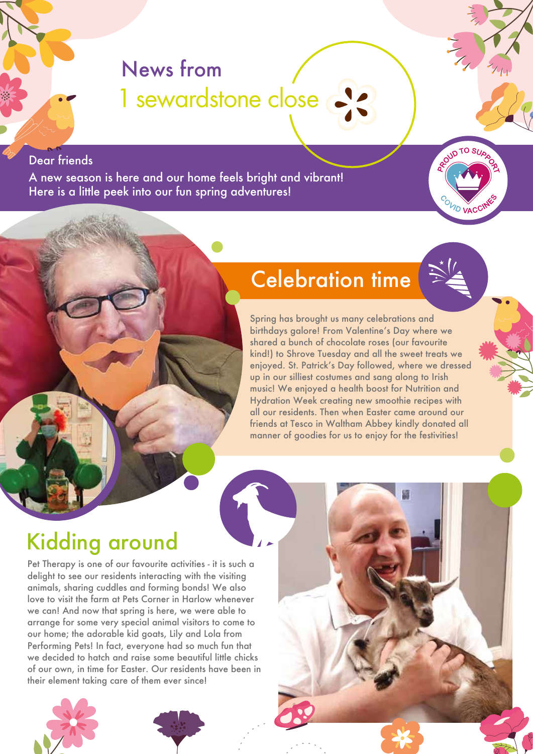# News from 1 sewardstone close

#### Dear friends

A new season is here and our home feels bright and vibrant! Here is a little peek into our fun spring adventures!



## Celebration time

Spring has brought us many celebrations and birthdays galore! From Valentine's Day where we shared a bunch of chocolate roses (our favourite kind!) to Shrove Tuesday and all the sweet treats we enjoyed. St. Patrick's Day followed, where we dressed up in our silliest costumes and sang along to Irish music! We enjoyed a health boost for Nutrition and Hydration Week creating new smoothie recipes with all our residents. Then when Easter came around our friends at Tesco in Waltham Abbey kindly donated all manner of goodies for us to enjoy for the festivities!

# Kidding around

Pet Therapy is one of our favourite activities - it is such a delight to see our residents interacting with the visiting animals, sharing cuddles and forming bonds! We also love to visit the farm at Pets Corner in Harlow whenever we can! And now that spring is here, we were able to arrange for some very special animal visitors to come to our home; the adorable kid goats, Lily and Lola from Performing Pets! In fact, everyone had so much fun that we decided to hatch and raise some beautiful little chicks of our own, in time for Easter. Our residents have been in their element taking care of them ever since!